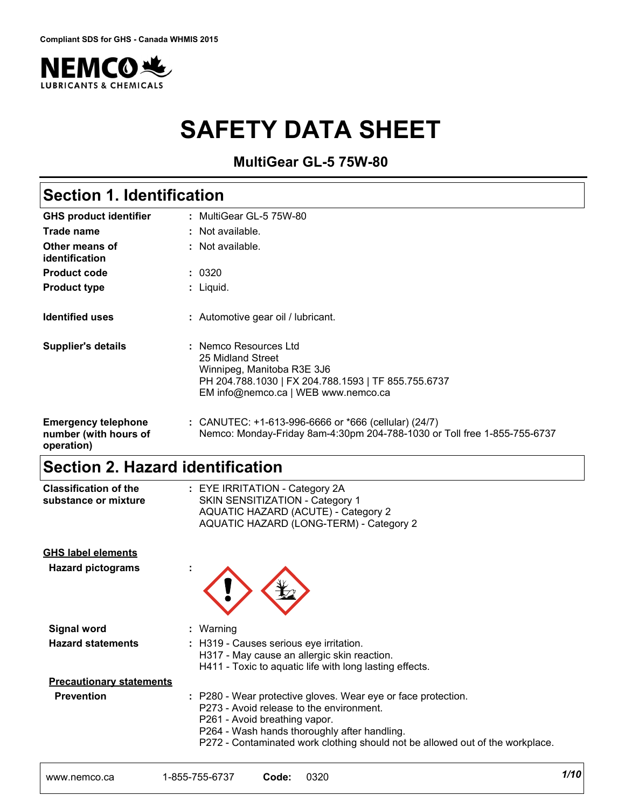

# **SAFETY DATA SHEET**

**MultiGear GL-5 75W-80**

# **Section 1. Identification**

| <b>GHS product identifier</b>                                     | : MultiGear GL-5 75W-80                                                                                                                                                |
|-------------------------------------------------------------------|------------------------------------------------------------------------------------------------------------------------------------------------------------------------|
| <b>Trade name</b>                                                 | : Not available.                                                                                                                                                       |
| Other means of<br>identification                                  | : Not available.                                                                                                                                                       |
| <b>Product code</b>                                               | : 0320                                                                                                                                                                 |
| <b>Product type</b>                                               | : Liquid.                                                                                                                                                              |
| <b>Identified uses</b>                                            | : Automotive gear oil / lubricant.                                                                                                                                     |
| <b>Supplier's details</b>                                         | : Nemco Resources Ltd<br>25 Midland Street<br>Winnipeg, Manitoba R3E 3J6<br>PH 204.788.1030   FX 204.788.1593   TF 855.755.6737<br>EM info@nemco.ca   WEB www.nemco.ca |
| <b>Emergency telephone</b><br>number (with hours of<br>operation) | : CANUTEC: $+1-613-996-6666$ or $*666$ (cellular) (24/7)<br>Nemco: Monday-Friday 8am-4:30pm 204-788-1030 or Toll free 1-855-755-6737                                   |

### **Section 2. Hazard identification**

| <b>Classification of the</b> | : EYE IRRITATION - Category 2A          |  |
|------------------------------|-----------------------------------------|--|
| substance or mixture         | SKIN SENSITIZATION - Category 1         |  |
|                              | AQUATIC HAZARD (ACUTE) - Category 2     |  |
|                              | AQUATIC HAZARD (LONG-TERM) - Category 2 |  |
|                              |                                         |  |

#### **GHS label elements**

**Hazard pictograms :**



| Signal word                     | Warning                                                                                                                                                                                                                                                                     |
|---------------------------------|-----------------------------------------------------------------------------------------------------------------------------------------------------------------------------------------------------------------------------------------------------------------------------|
| <b>Hazard statements</b>        | : H319 - Causes serious eye irritation.<br>H317 - May cause an allergic skin reaction.<br>H411 - Toxic to aquatic life with long lasting effects.                                                                                                                           |
| <b>Precautionary statements</b> |                                                                                                                                                                                                                                                                             |
| <b>Prevention</b>               | : P280 - Wear protective gloves. Wear eye or face protection.<br>P273 - Avoid release to the environment.<br>P261 - Avoid breathing vapor.<br>P264 - Wash hands thoroughly after handling.<br>P272 - Contaminated work clothing should not be allowed out of the workplace. |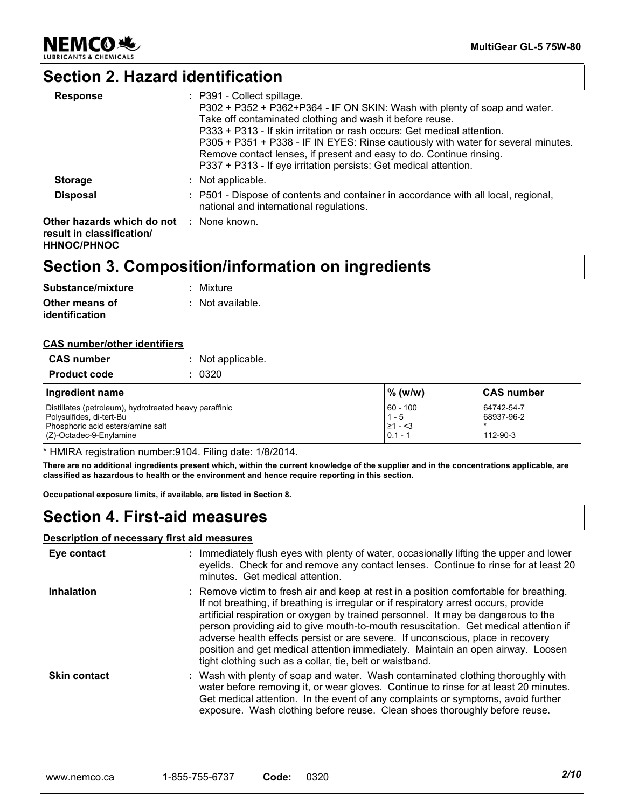

**MultiGear GL-5 75W-80**

# **Section 2. Hazard identification**

| <b>Response</b>                                                              | : P391 - Collect spillage.                                                                                                    |
|------------------------------------------------------------------------------|-------------------------------------------------------------------------------------------------------------------------------|
|                                                                              | P302 + P352 + P362+P364 - IF ON SKIN: Wash with plenty of soap and water.                                                     |
|                                                                              | Take off contaminated clothing and wash it before reuse.                                                                      |
|                                                                              | P333 + P313 - If skin irritation or rash occurs: Get medical attention.                                                       |
|                                                                              | P305 + P351 + P338 - IF IN EYES: Rinse cautiously with water for several minutes.                                             |
|                                                                              | Remove contact lenses, if present and easy to do. Continue rinsing.                                                           |
|                                                                              | P337 + P313 - If eye irritation persists: Get medical attention.                                                              |
| <b>Storage</b>                                                               | : Not applicable.                                                                                                             |
| <b>Disposal</b>                                                              | : P501 - Dispose of contents and container in accordance with all local, regional,<br>national and international regulations. |
| <b>Other hazards which do not : None known.</b><br>result in classification/ |                                                                                                                               |

#### **HHNOC/PHNOC**

### **Section 3. Composition/information on ingredients**

| Substance/mixture | : Mixture        |
|-------------------|------------------|
| Other means of    | : Not available. |
| identification    |                  |

#### **CAS number/other identifiers**

| <b>CAS number</b>   | : Not applicable. |
|---------------------|-------------------|
| <b>Product code</b> | : 0320            |

| Ingredient name                                        | $%$ (w/w)    | ∣CAS number |  |
|--------------------------------------------------------|--------------|-------------|--|
| Distillates (petroleum), hydrotreated heavy paraffinic | $60 - 100$   | 64742-54-7  |  |
| Polysulfides, di-tert-Bu                               | $1 - 5$      | 68937-96-2  |  |
| Phosphoric acid esters/amine salt                      | $\geq 1 - 3$ |             |  |
| (Z)-Octadec-9-Enylamine                                | $0.1 - 1$    | 112-90-3    |  |

\* HMIRA registration number:9104. Filing date: 1/8/2014.

**There are no additional ingredients present which, within the current knowledge of the supplier and in the concentrations applicable, are classified as hazardous to health or the environment and hence require reporting in this section.**

**Occupational exposure limits, if available, are listed in Section 8.**

### **Section 4. First-aid measures**

#### **Description of necessary first aid measures**

| Eye contact         | : Immediately flush eyes with plenty of water, occasionally lifting the upper and lower<br>eyelids. Check for and remove any contact lenses. Continue to rinse for at least 20<br>minutes. Get medical attention.                                                                                                                                                                                                                                                                                                                                                                            |
|---------------------|----------------------------------------------------------------------------------------------------------------------------------------------------------------------------------------------------------------------------------------------------------------------------------------------------------------------------------------------------------------------------------------------------------------------------------------------------------------------------------------------------------------------------------------------------------------------------------------------|
| <b>Inhalation</b>   | : Remove victim to fresh air and keep at rest in a position comfortable for breathing.<br>If not breathing, if breathing is irregular or if respiratory arrest occurs, provide<br>artificial respiration or oxygen by trained personnel. It may be dangerous to the<br>person providing aid to give mouth-to-mouth resuscitation. Get medical attention if<br>adverse health effects persist or are severe. If unconscious, place in recovery<br>position and get medical attention immediately. Maintain an open airway. Loosen<br>tight clothing such as a collar, tie, belt or waistband. |
| <b>Skin contact</b> | : Wash with plenty of soap and water. Wash contaminated clothing thoroughly with<br>water before removing it, or wear gloves. Continue to rinse for at least 20 minutes.<br>Get medical attention. In the event of any complaints or symptoms, avoid further<br>exposure. Wash clothing before reuse. Clean shoes thoroughly before reuse.                                                                                                                                                                                                                                                   |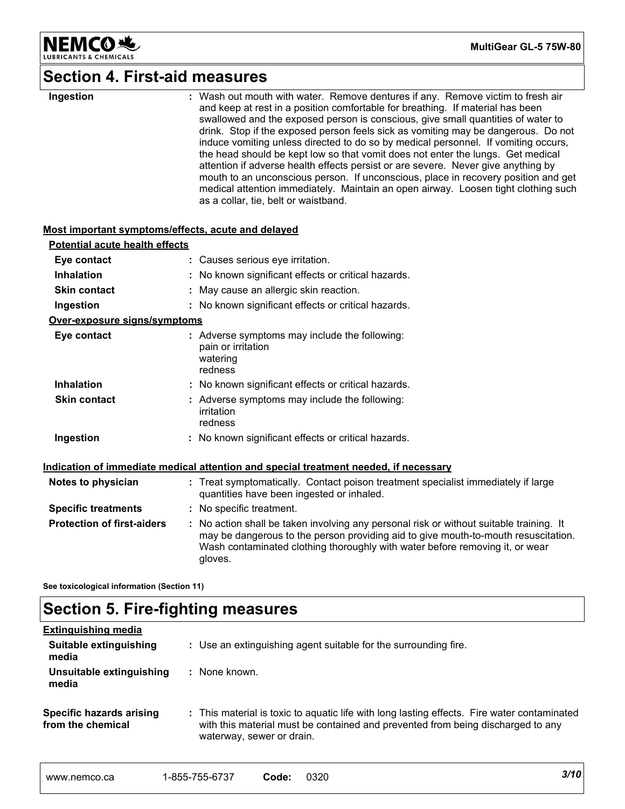

## **Section 4. First-aid measures**

| Ingestion                                          | : Wash out mouth with water. Remove dentures if any. Remove victim to fresh air<br>and keep at rest in a position comfortable for breathing. If material has been<br>swallowed and the exposed person is conscious, give small quantities of water to<br>drink. Stop if the exposed person feels sick as vomiting may be dangerous. Do not<br>induce vomiting unless directed to do so by medical personnel. If vomiting occurs,<br>the head should be kept low so that vomit does not enter the lungs. Get medical<br>attention if adverse health effects persist or are severe. Never give anything by<br>mouth to an unconscious person. If unconscious, place in recovery position and get<br>medical attention immediately. Maintain an open airway. Loosen tight clothing such<br>as a collar, tie, belt or waistband. |
|----------------------------------------------------|------------------------------------------------------------------------------------------------------------------------------------------------------------------------------------------------------------------------------------------------------------------------------------------------------------------------------------------------------------------------------------------------------------------------------------------------------------------------------------------------------------------------------------------------------------------------------------------------------------------------------------------------------------------------------------------------------------------------------------------------------------------------------------------------------------------------------|
| Most important symptoms/effects, acute and delayed |                                                                                                                                                                                                                                                                                                                                                                                                                                                                                                                                                                                                                                                                                                                                                                                                                              |
| <b>Potential acute health effects</b>              |                                                                                                                                                                                                                                                                                                                                                                                                                                                                                                                                                                                                                                                                                                                                                                                                                              |
| Eye contact                                        | : Causes serious eye irritation.                                                                                                                                                                                                                                                                                                                                                                                                                                                                                                                                                                                                                                                                                                                                                                                             |
| <b>Inhalation</b>                                  | : No known significant effects or critical hazards.                                                                                                                                                                                                                                                                                                                                                                                                                                                                                                                                                                                                                                                                                                                                                                          |
| <b>Skin contact</b>                                | : May cause an allergic skin reaction.                                                                                                                                                                                                                                                                                                                                                                                                                                                                                                                                                                                                                                                                                                                                                                                       |
| Ingestion                                          | : No known significant effects or critical hazards.                                                                                                                                                                                                                                                                                                                                                                                                                                                                                                                                                                                                                                                                                                                                                                          |
| Over-exposure signs/symptoms                       |                                                                                                                                                                                                                                                                                                                                                                                                                                                                                                                                                                                                                                                                                                                                                                                                                              |
| Eye contact                                        | : Adverse symptoms may include the following:<br>pain or irritation<br>watering<br>redness                                                                                                                                                                                                                                                                                                                                                                                                                                                                                                                                                                                                                                                                                                                                   |
| <b>Inhalation</b>                                  | : No known significant effects or critical hazards.                                                                                                                                                                                                                                                                                                                                                                                                                                                                                                                                                                                                                                                                                                                                                                          |
| <b>Skin contact</b>                                | : Adverse symptoms may include the following:<br>irritation<br>redness                                                                                                                                                                                                                                                                                                                                                                                                                                                                                                                                                                                                                                                                                                                                                       |
| Ingestion                                          | : No known significant effects or critical hazards.                                                                                                                                                                                                                                                                                                                                                                                                                                                                                                                                                                                                                                                                                                                                                                          |
|                                                    | Indication of immediate medical attention and special treatment needed, if necessary                                                                                                                                                                                                                                                                                                                                                                                                                                                                                                                                                                                                                                                                                                                                         |
| Notes to physician                                 | : Treat symptomatically. Contact poison treatment specialist immediately if large<br>quantities have been ingested or inhaled.                                                                                                                                                                                                                                                                                                                                                                                                                                                                                                                                                                                                                                                                                               |
| <b>Specific treatments</b>                         | : No specific treatment.                                                                                                                                                                                                                                                                                                                                                                                                                                                                                                                                                                                                                                                                                                                                                                                                     |
| <b>Protection of first-aiders</b>                  | : No action shall be taken involving any personal risk or without suitable training. It<br>may be dangerous to the person providing aid to give mouth-to-mouth resuscitation.<br>Wash contaminated clothing thoroughly with water before removing it, or wear<br>gloves.                                                                                                                                                                                                                                                                                                                                                                                                                                                                                                                                                     |

**See toxicological information (Section 11)**

# **Section 5. Fire-fighting measures**

| <b>Extinguishing media</b>                    |                                                                                                                                                                                                             |
|-----------------------------------------------|-------------------------------------------------------------------------------------------------------------------------------------------------------------------------------------------------------------|
| Suitable extinguishing<br>media               | : Use an extinguishing agent suitable for the surrounding fire.                                                                                                                                             |
| Unsuitable extinguishing<br>media             | : None known.                                                                                                                                                                                               |
| Specific hazards arising<br>from the chemical | : This material is toxic to aquatic life with long lasting effects. Fire water contaminated<br>with this material must be contained and prevented from being discharged to any<br>waterway, sewer or drain. |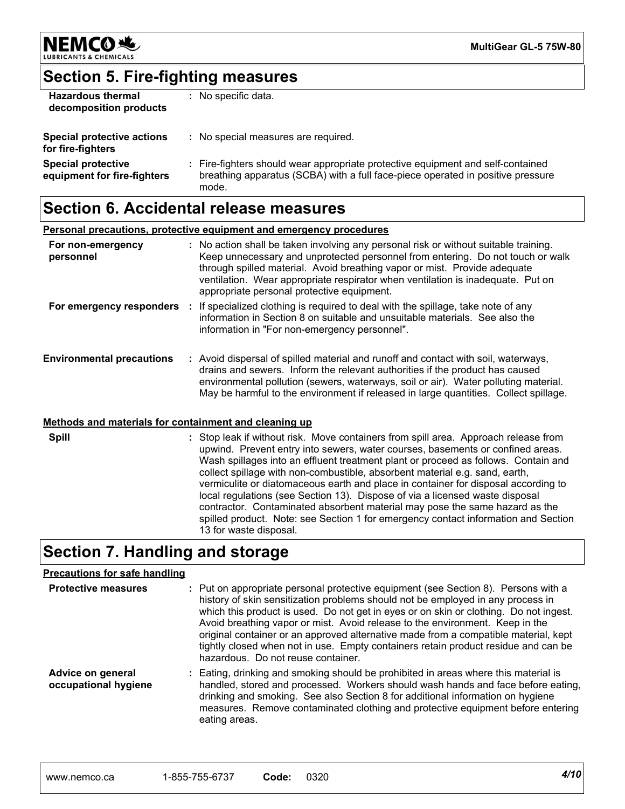

### **Section 5. Fire-fighting measures**

| <b>Hazardous thermal</b><br>decomposition products       | : No specific data.                                                                                                                                                         |
|----------------------------------------------------------|-----------------------------------------------------------------------------------------------------------------------------------------------------------------------------|
| <b>Special protective actions</b><br>for fire-fighters   | : No special measures are required.                                                                                                                                         |
| <b>Special protective</b><br>equipment for fire-fighters | : Fire-fighters should wear appropriate protective equipment and self-contained<br>breathing apparatus (SCBA) with a full face-piece operated in positive pressure<br>mode. |

### **Section 6. Accidental release measures**

#### **Personal precautions, protective equipment and emergency procedures**

| For non-emergency<br>personnel   | : No action shall be taken involving any personal risk or without suitable training.<br>Keep unnecessary and unprotected personnel from entering. Do not touch or walk<br>through spilled material. Avoid breathing vapor or mist. Provide adequate<br>ventilation. Wear appropriate respirator when ventilation is inadequate. Put on<br>appropriate personal protective equipment. |
|----------------------------------|--------------------------------------------------------------------------------------------------------------------------------------------------------------------------------------------------------------------------------------------------------------------------------------------------------------------------------------------------------------------------------------|
| For emergency responders         | : If specialized clothing is required to deal with the spillage, take note of any<br>information in Section 8 on suitable and unsuitable materials. See also the<br>information in "For non-emergency personnel".                                                                                                                                                                    |
| <b>Environmental precautions</b> | : Avoid dispersal of spilled material and runoff and contact with soil, waterways,<br>drains and sewers. Inform the relevant authorities if the product has caused<br>environmental pollution (sewers, waterways, soil or air). Water polluting material.<br>May be harmful to the environment if released in large quantities. Collect spillage.                                    |

#### **Methods and materials for containment and cleaning up**

Stop leak if without risk. Move containers from spill area. Approach release from **:** upwind. Prevent entry into sewers, water courses, basements or confined areas. Wash spillages into an effluent treatment plant or proceed as follows. Contain and collect spillage with non-combustible, absorbent material e.g. sand, earth, vermiculite or diatomaceous earth and place in container for disposal according to local regulations (see Section 13). Dispose of via a licensed waste disposal contractor. Contaminated absorbent material may pose the same hazard as the spilled product. Note: see Section 1 for emergency contact information and Section 13 for waste disposal. **Spill**

### **Section 7. Handling and storage**

#### **Precautions for safe handling**

| <b>Protective measures</b>                | : Put on appropriate personal protective equipment (see Section 8). Persons with a<br>history of skin sensitization problems should not be employed in any process in<br>which this product is used. Do not get in eyes or on skin or clothing. Do not ingest.<br>Avoid breathing vapor or mist. Avoid release to the environment. Keep in the<br>original container or an approved alternative made from a compatible material, kept<br>tightly closed when not in use. Empty containers retain product residue and can be<br>hazardous. Do not reuse container. |
|-------------------------------------------|-------------------------------------------------------------------------------------------------------------------------------------------------------------------------------------------------------------------------------------------------------------------------------------------------------------------------------------------------------------------------------------------------------------------------------------------------------------------------------------------------------------------------------------------------------------------|
| Advice on general<br>occupational hygiene | : Eating, drinking and smoking should be prohibited in areas where this material is<br>handled, stored and processed. Workers should wash hands and face before eating,<br>drinking and smoking. See also Section 8 for additional information on hygiene<br>measures. Remove contaminated clothing and protective equipment before entering<br>eating areas.                                                                                                                                                                                                     |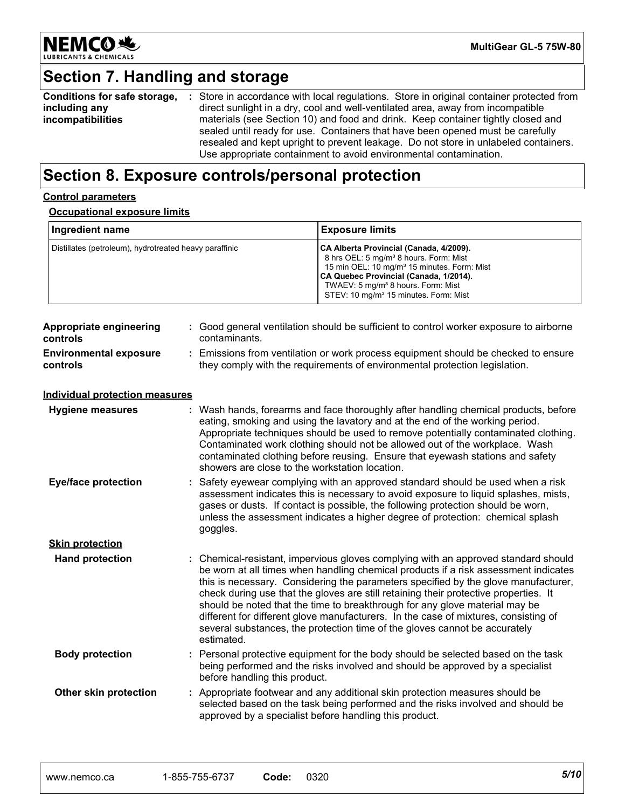

# **Section 7. Handling and storage**

| Conditions for safe storage, | : Store in accordance with local regulations. Store in original container protected from |
|------------------------------|------------------------------------------------------------------------------------------|
| including any                | direct sunlight in a dry, cool and well-ventilated area, away from incompatible          |
| incompatibilities            | materials (see Section 10) and food and drink. Keep container tightly closed and         |
|                              | sealed until ready for use. Containers that have been opened must be carefully           |
|                              | resealed and kept upright to prevent leakage. Do not store in unlabeled containers.      |
|                              | Use appropriate containment to avoid environmental contamination.                        |

### **Section 8. Exposure controls/personal protection**

#### **Control parameters**

#### **Occupational exposure limits**

| <b>Ingredient name</b>                                 | <b>Exposure limits</b>                                                                                                                                                                                                                                                                                    |
|--------------------------------------------------------|-----------------------------------------------------------------------------------------------------------------------------------------------------------------------------------------------------------------------------------------------------------------------------------------------------------|
| Distillates (petroleum), hydrotreated heavy paraffinic | CA Alberta Provincial (Canada, 4/2009).<br>8 hrs OEL: 5 mg/m <sup>3</sup> 8 hours. Form: Mist<br>15 min OEL: 10 mg/m <sup>3</sup> 15 minutes. Form: Mist<br>CA Quebec Provincial (Canada, 1/2014).<br>TWAEV: 5 mg/m <sup>3</sup> 8 hours. Form: Mist<br>STEV: 10 mg/m <sup>3</sup> 15 minutes. Form: Mist |

| Appropriate engineering<br>controls       | : Good general ventilation should be sufficient to control worker exposure to airborne<br>contaminants.                                                          |
|-------------------------------------------|------------------------------------------------------------------------------------------------------------------------------------------------------------------|
| <b>Environmental exposure</b><br>controls | : Emissions from ventilation or work process equipment should be checked to ensure<br>they comply with the requirements of environmental protection legislation. |

#### **Individual protection measures**

| <b>Hygiene measures</b>    | : Wash hands, forearms and face thoroughly after handling chemical products, before<br>eating, smoking and using the lavatory and at the end of the working period.<br>Appropriate techniques should be used to remove potentially contaminated clothing.<br>Contaminated work clothing should not be allowed out of the workplace. Wash<br>contaminated clothing before reusing. Ensure that eyewash stations and safety<br>showers are close to the workstation location.                                                                                                                                               |
|----------------------------|---------------------------------------------------------------------------------------------------------------------------------------------------------------------------------------------------------------------------------------------------------------------------------------------------------------------------------------------------------------------------------------------------------------------------------------------------------------------------------------------------------------------------------------------------------------------------------------------------------------------------|
| <b>Eye/face protection</b> | : Safety eyewear complying with an approved standard should be used when a risk<br>assessment indicates this is necessary to avoid exposure to liquid splashes, mists,<br>gases or dusts. If contact is possible, the following protection should be worn,<br>unless the assessment indicates a higher degree of protection: chemical splash<br>goggles.                                                                                                                                                                                                                                                                  |
| <b>Skin protection</b>     |                                                                                                                                                                                                                                                                                                                                                                                                                                                                                                                                                                                                                           |
| <b>Hand protection</b>     | : Chemical-resistant, impervious gloves complying with an approved standard should<br>be worn at all times when handling chemical products if a risk assessment indicates<br>this is necessary. Considering the parameters specified by the glove manufacturer,<br>check during use that the gloves are still retaining their protective properties. It<br>should be noted that the time to breakthrough for any glove material may be<br>different for different glove manufacturers. In the case of mixtures, consisting of<br>several substances, the protection time of the gloves cannot be accurately<br>estimated. |
| <b>Body protection</b>     | : Personal protective equipment for the body should be selected based on the task<br>being performed and the risks involved and should be approved by a specialist<br>before handling this product.                                                                                                                                                                                                                                                                                                                                                                                                                       |
| Other skin protection      | : Appropriate footwear and any additional skin protection measures should be<br>selected based on the task being performed and the risks involved and should be<br>approved by a specialist before handling this product.                                                                                                                                                                                                                                                                                                                                                                                                 |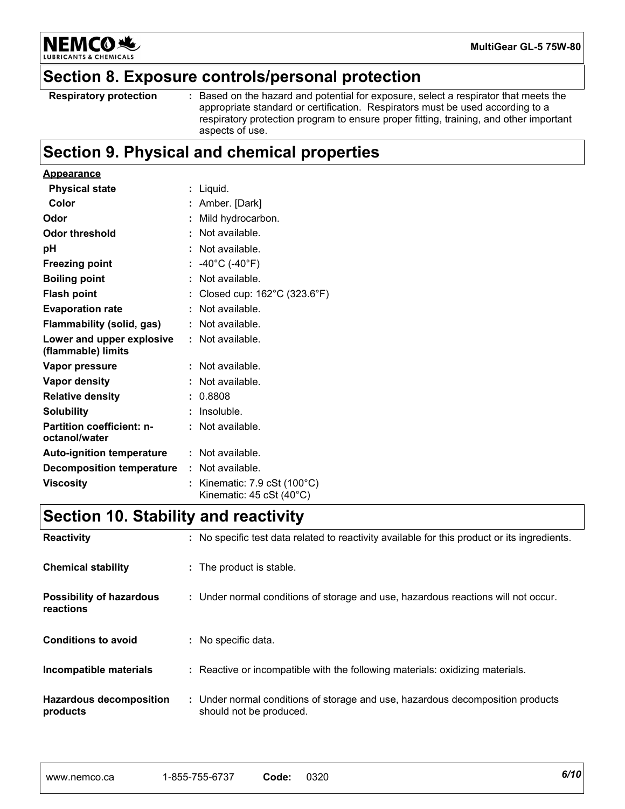

**Section 8. Exposure controls/personal protection**

**Respiratory protection :**

Based on the hazard and potential for exposure, select a respirator that meets the appropriate standard or certification. Respirators must be used according to a respiratory protection program to ensure proper fitting, training, and other important aspects of use.

### **Section 9. Physical and chemical properties**

#### **Physical state Freezing point Vapor pressure Relative density Vapor density Solubility** Liquid. **:** -40°C (-40°F) **:** 0.8808 **: :** Not available. **:** Not available. **:** Insoluble. **Odor** Mild hydrocarbon. **pH Color :** Amber. [Dark] **Evaporation rate Auto-ignition temperature Flash point :** Not available. Closed cup: 162°C (323.6°F) **: :** Not available. Not available. **: Viscosity Example 20 :** Kinematic: 7.9 cSt (100°C) Kinematic: 45 cSt (40°C) **Odor threshold Partition coefficient: noctanol/water : : Appearance Boiling point :** Not available. **Flammability (solid, gas) :** Not available. **Lower and upper explosive (flammable) limits :** Not available. **Decomposition temperature :** Not available.

### **Section 10. Stability and reactivity**

| <b>Reactivity</b>                            | : No specific test data related to reactivity available for this product or its ingredients.              |
|----------------------------------------------|-----------------------------------------------------------------------------------------------------------|
| <b>Chemical stability</b>                    | : The product is stable.                                                                                  |
| <b>Possibility of hazardous</b><br>reactions | : Under normal conditions of storage and use, hazardous reactions will not occur.                         |
| <b>Conditions to avoid</b>                   | : No specific data.                                                                                       |
| Incompatible materials                       | : Reactive or incompatible with the following materials: oxidizing materials.                             |
| <b>Hazardous decomposition</b><br>products   | : Under normal conditions of storage and use, hazardous decomposition products<br>should not be produced. |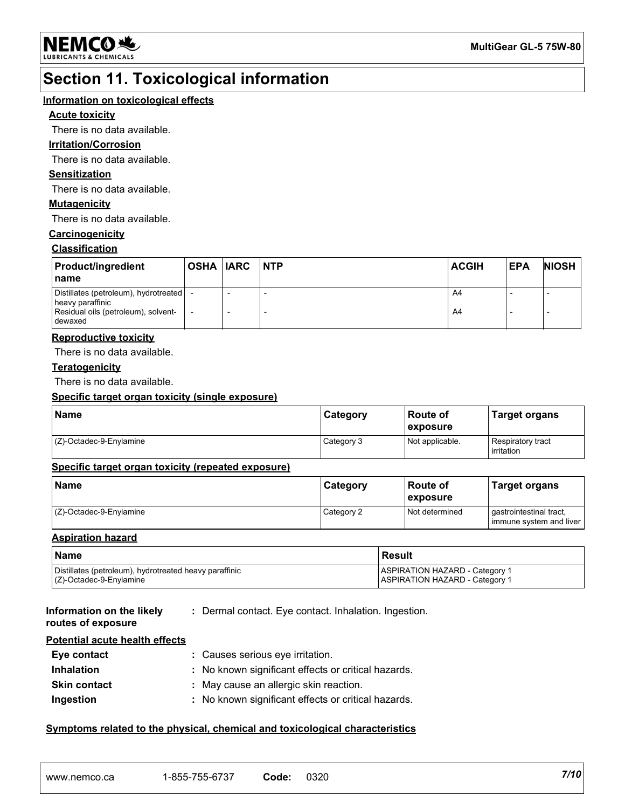

**LUBRICANTS & CHEMICALS** 

### **Section 11. Toxicological information**

#### **Information on toxicological effects**

#### **Acute toxicity**

There is no data available.

#### **Irritation/Corrosion**

There is no data available.

#### **Sensitization**

There is no data available.

#### **Mutagenicity**

There is no data available.

#### **Carcinogenicity**

#### **Classification**

| <b>Product/ingredient</b><br>I name                                                                             | OSHA  IARC |   | <b>NTP</b> | <b>ACGIH</b> | <b>EPA</b> | <b>NIOSH</b> |
|-----------------------------------------------------------------------------------------------------------------|------------|---|------------|--------------|------------|--------------|
| Distillates (petroleum), hydrotreated   -<br>heavy paraffinic<br>Residual oils (petroleum), solvent-<br>dewaxed |            | - |            | A4<br>A4     |            |              |

#### **Reproductive toxicity**

There is no data available.

#### **Teratogenicity**

There is no data available.

#### **Specific target organ toxicity (single exposure)**

| Name                    | Category   | ⊺Route of<br>exposure | <b>Target organs</b>            |
|-------------------------|------------|-----------------------|---------------------------------|
| (Z)-Octadec-9-Enylamine | Category 3 | Not applicable.       | Respiratory tract<br>irritation |

#### **Specific target organ toxicity (repeated exposure)**

| <b>Name</b>                | Category   | l Route of<br><b>lexposure</b> | Target organs                                       |
|----------------------------|------------|--------------------------------|-----------------------------------------------------|
| $(Z)$ -Octadec-9-Enylamine | Category 2 | Not determined                 | gastrointestinal tract,<br>limmune system and liver |

#### **Aspiration hazard**

| <b>Name</b>                                            | l Result                              |
|--------------------------------------------------------|---------------------------------------|
| Distillates (petroleum), hydrotreated heavy paraffinic | <b>ASPIRATION HAZARD - Category 1</b> |
| $(C)$ -Octadec-9-Enylamine                             | ASPIRATION HAZARD - Category 1        |

| Information on the likely | : Dermal contact. Eye contact. Inhalation. Ingestion. |
|---------------------------|-------------------------------------------------------|
| routes of exposure        |                                                       |

#### **Potential acute health effects**

| Eye contact         | : Causes serious eye irritation.                    |
|---------------------|-----------------------------------------------------|
| <b>Inhalation</b>   | : No known significant effects or critical hazards. |
| <b>Skin contact</b> | : May cause an allergic skin reaction.              |
| Ingestion           | : No known significant effects or critical hazards. |

#### **Symptoms related to the physical, chemical and toxicological characteristics**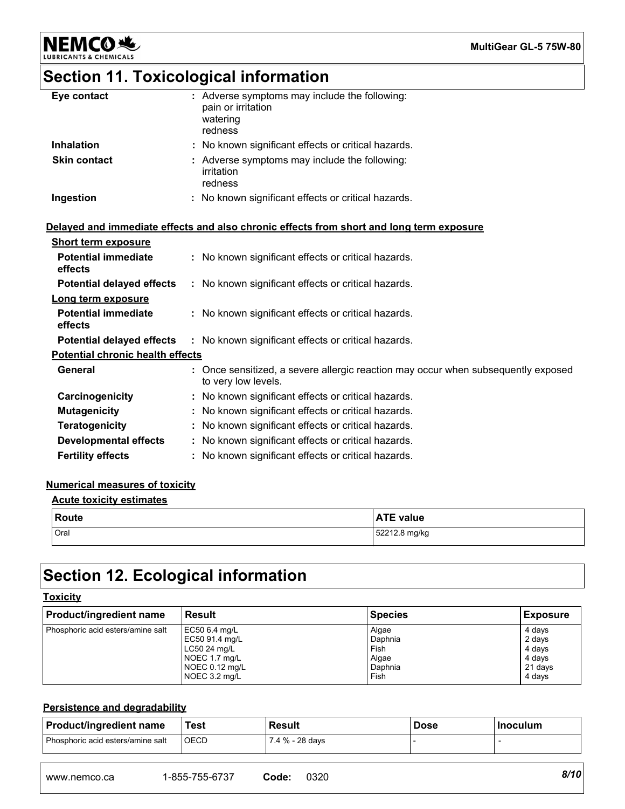**NEMCO头 LUBRICA** 

# **Section 11. Toxicological information**

| Eye contact         | : Adverse symptoms may include the following:<br>pain or irritation<br>watering<br>redness |
|---------------------|--------------------------------------------------------------------------------------------|
| <b>Inhalation</b>   | : No known significant effects or critical hazards.                                        |
| <b>Skin contact</b> | : Adverse symptoms may include the following:<br>irritation<br>redness                     |
| Ingestion           | : No known significant effects or critical hazards.                                        |

#### **Delayed and immediate effects and also chronic effects from short and long term exposure**

| <b>Short term exposure</b>              |                                                                                                          |
|-----------------------------------------|----------------------------------------------------------------------------------------------------------|
| <b>Potential immediate</b><br>effects   | : No known significant effects or critical hazards.                                                      |
| <b>Potential delayed effects</b>        | : No known significant effects or critical hazards.                                                      |
| Long term exposure                      |                                                                                                          |
| <b>Potential immediate</b><br>effects   | : No known significant effects or critical hazards.                                                      |
| <b>Potential delayed effects</b>        | : No known significant effects or critical hazards.                                                      |
| <b>Potential chronic health effects</b> |                                                                                                          |
| General                                 | : Once sensitized, a severe allergic reaction may occur when subsequently exposed<br>to very low levels. |
| Carcinogenicity                         | : No known significant effects or critical hazards.                                                      |
| <b>Mutagenicity</b>                     | : No known significant effects or critical hazards.                                                      |
| <b>Teratogenicity</b>                   | : No known significant effects or critical hazards.                                                      |
| Developmental effects                   | : No known significant effects or critical hazards.                                                      |
| <b>Fertility effects</b>                | : No known significant effects or critical hazards.                                                      |

#### **Numerical measures of toxicity**

#### **Acute toxicity estimates**

| <b>Route</b> | <b>ATE value</b> |
|--------------|------------------|
| Oral         | 52212.8 mg/kg    |

### **Section 12. Ecological information**

#### **Toxicity**

| <b>Product/ingredient name</b>    | Result         | <b>Species</b> | <b>Exposure</b> |
|-----------------------------------|----------------|----------------|-----------------|
| Phosphoric acid esters/amine salt | EC50 6.4 mg/L  | Algae          | 4 days          |
|                                   | EC50 91.4 mg/L | Daphnia        | 2 days          |
|                                   | LC50 24 mg/L   | Fish           | 4 days          |
|                                   | NOEC 1.7 mg/L  | Algae          | 4 davs          |
|                                   | NOEC 0.12 mg/L | Daphnia        | 21 days         |
|                                   | NOEC 3.2 mg/L  | Fish           | 4 days          |

#### **Persistence and degradability**

| <b>Product/ingredient name</b>      | Test | Result        | <b>Dose</b> | <b>Inoculum</b> |
|-------------------------------------|------|---------------|-------------|-----------------|
| l Phosphoric acid esters/amine salt | OECD | 4 % - 28 days |             |                 |

| <b>WWW</b><br>v.nemco.ca | : 755 6737<br>$-855-75$<br>-67<br>. טט<br><u>UIJ</u> | Code | 0320 | 8/10 |  |  |
|--------------------------|------------------------------------------------------|------|------|------|--|--|
|--------------------------|------------------------------------------------------|------|------|------|--|--|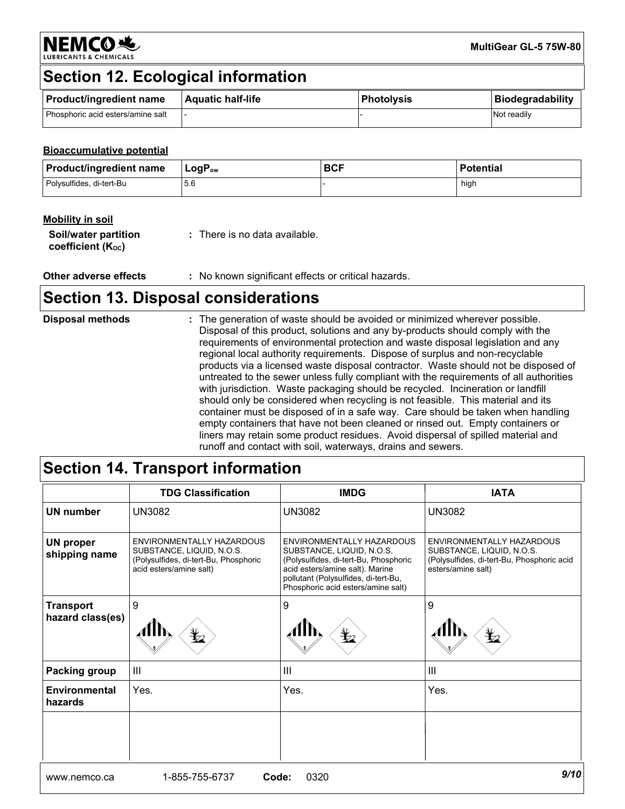

### **Section 12. Ecological information**

| <b>Product/ingredient name</b>      | <b>Aquatic half-life</b> | <b>Photolysis</b> | <b>Biodegradability</b> |
|-------------------------------------|--------------------------|-------------------|-------------------------|
| I Phosphoric acid esters/amine salt |                          |                   | Not readily             |

#### **Bioaccumulative potential**

| <b>Product/ingredient name</b> | $\mathsf{LogP}_\mathsf{ow}$ | <b>BCF</b> | <b>Potential</b> |
|--------------------------------|-----------------------------|------------|------------------|
| Polysulfides, di-tert-Bu       | 5.6                         |            | hiah             |

| Mobility in soil                                      |                               |
|-------------------------------------------------------|-------------------------------|
| Soil/water partition<br>coefficient $(K_{\text{oc}})$ | : There is no data available. |

#### **Other adverse effects** : No known significant effects or critical hazards.

### **Section 13. Disposal considerations**

| <b>Disposal methods</b> | : The generation of waste should be avoided or minimized wherever possible.                                                                                                                                                                                                                                                                        |
|-------------------------|----------------------------------------------------------------------------------------------------------------------------------------------------------------------------------------------------------------------------------------------------------------------------------------------------------------------------------------------------|
|                         | Disposal of this product, solutions and any by-products should comply with the<br>requirements of environmental protection and waste disposal legislation and any<br>regional local authority requirements. Dispose of surplus and non-recyclable                                                                                                  |
|                         | products via a licensed waste disposal contractor. Waste should not be disposed of<br>untreated to the sewer unless fully compliant with the requirements of all authorities<br>with jurisdiction. Waste packaging should be recycled. Incineration or landfill<br>should only be considered when recycling is not feasible. This material and its |
|                         | container must be disposed of in a safe way. Care should be taken when handling<br>empty containers that have not been cleaned or rinsed out. Empty containers or<br>liners may retain some product residues. Avoid dispersal of spilled material and<br>runoff and contact with soil, waterways, drains and sewers.                               |

# **Section 14. Transport information**

|                                      | <b>TDG Classification</b>                                                                                                  | <b>IMDG</b>                                                                                                                                                                                                      | <b>IATA</b>                                                                                                                |
|--------------------------------------|----------------------------------------------------------------------------------------------------------------------------|------------------------------------------------------------------------------------------------------------------------------------------------------------------------------------------------------------------|----------------------------------------------------------------------------------------------------------------------------|
| UN number                            | <b>UN3082</b>                                                                                                              | <b>UN3082</b>                                                                                                                                                                                                    | <b>UN3082</b>                                                                                                              |
| <b>UN proper</b><br>shipping name    | ENVIRONMENTALLY HAZARDOUS<br>SUBSTANCE, LIQUID, N.O.S.<br>(Polysulfides, di-tert-Bu, Phosphoric<br>acid esters/amine salt) | ENVIRONMENTALLY HAZARDOUS<br>SUBSTANCE, LIQUID, N.O.S.<br>(Polysulfides, di-tert-Bu, Phosphoric<br>acid esters/amine salt). Marine<br>pollutant (Polysulfides, di-tert-Bu,<br>Phosphoric acid esters/amine salt) | ENVIRONMENTALLY HAZARDOUS<br>SUBSTANCE, LIQUID, N.O.S.<br>(Polysulfides, di-tert-Bu, Phosphoric acid<br>esters/amine salt) |
| <b>Transport</b><br>hazard class(es) | 9<br>$\mathbf{z}$                                                                                                          | 9<br>¥⊿                                                                                                                                                                                                          | 9<br>芒                                                                                                                     |
| <b>Packing group</b>                 | $\mathbf{III}$                                                                                                             | Ш                                                                                                                                                                                                                | $\mathbf{III}$                                                                                                             |
| <b>Environmental</b><br>hazards      | Yes.                                                                                                                       | Yes.                                                                                                                                                                                                             | Yes.                                                                                                                       |
|                                      |                                                                                                                            |                                                                                                                                                                                                                  |                                                                                                                            |
|                                      |                                                                                                                            |                                                                                                                                                                                                                  |                                                                                                                            |